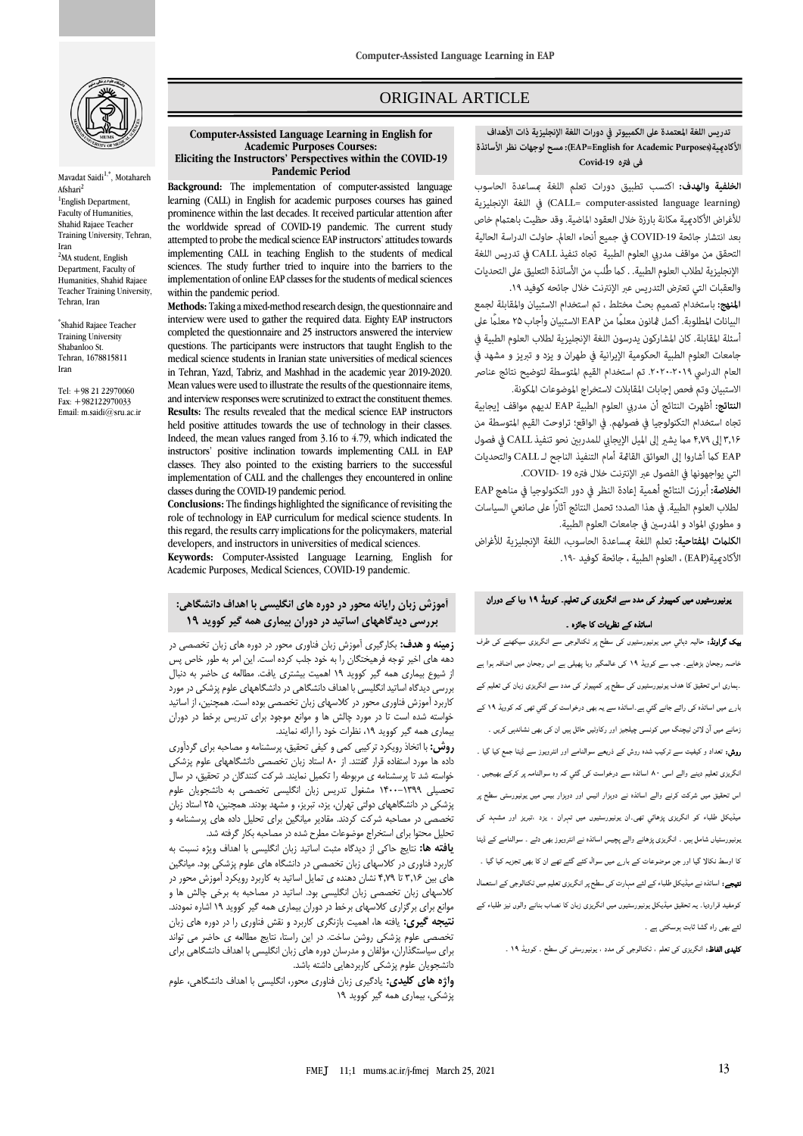

Mavadat Saidi<sup>1,\*</sup>, Motahareh Afshari<sup>2</sup> <sup>1</sup>English Department, Faculty of Humanities, Shahid Rajaee Teacher Training University, Tehran, Iran <sup>2</sup>MA student, English Department, Faculty of Humanities, Shahid Rajaee Teacher Training University, Tehran, Iran

\* Shahid Rajaee Teacher Training University Shabanloo St. Tehran, 1678815811 Iran

Tel: +98 21 22970060 Fax: +982122970033 Email: m.saidi@sru.ac.ir

## ORIGINAL ARTICLE

#### **Computer-Assisted Language Learning in English for Academic Purposes Courses: Eliciting the Instructors' Perspectives within the COVID-19 Pandemic Period**

**Background:** The implementation of computer-assisted language learning (CALL) in English for academic purposes courses has gained prominence within the last decades. It received particular attention after the worldwide spread of COVID-19 pandemic. The current study attempted to probe the medical science EAP instructors' attitudes towards implementing CALL in teaching English to the students of medical sciences. The study further tried to inquire into the barriers to the implementation of online EAP classes for the students of medical sciences within the pandemic period.

**Methods:** Taking a mixed-method research design, the questionnaire and interview were used to gather the required data. Eighty EAP instructors completed the questionnaire and 25 instructors answered the interview questions. The participants were instructors that taught English to the medical science students in Iranian state universities of medical sciences in Tehran, Yazd, Tabriz, and Mashhad in the academic year 2019-2020. Mean values were used to illustrate the results of the questionnaire items, and interview responses were scrutinized to extract the constituent themes. **Results:** The results revealed that the medical science EAP instructors held positive attitudes towards the use of technology in their classes. Indeed, the mean values ranged from 3.16 to 4.79, which indicated the instructors' positive inclination towards implementing CALL in EAP classes. They also pointed to the existing barriers to the successful implementation of CALL and the challenges they encountered in online classes during the COVID-19 pandemic period.

**Conclusions:** The findings highlighted the significance of revisiting the role of technology in EAP curriculum for medical science students. In this regard, the results carry implications for the policymakers, material developers, and instructors in universities of medical sciences.

**Keywords:** Computer-Assisted Language Learning, English for Academic Purposes, Medical Sciences, COVID-19 pandemic.

#### **آموزش زبان رایانه محور در دوره های انگلیسی با اهداف دانشگاهی: بررسی دیدگاههای اساتید در دوران بیماری همه گیر کووید ۱۹**

**زمینه و هدف:** بکارگیری آموزش زبان فناوری محور در دوره های زبان تخصصی در دهه های اخیر توجه فرهیختگان را به خود جلب کرده است. این امر به طور خاص پس از شیوع بیماری همه گیر کووید ۱۹ اهمیت بیشتری یافت. مطالعه ی حاضر به دنبال بررسی دیدگاه اساتید انگلیسی با اهداف دانشگاهی در دانشگاههای علوم پزشکی در مورد کاربرد آموزش فناوری محور در کالسهای زبان تخصصی بوده است. همچنین، از اساتید خواسته شده است تا در مورد چالش ها و موانع موجود برای تدریس برخط در دوران بیماری همه گیر کووید ،۱۹ نظرات خود را ارائه نمایند.

**روش:** با اتخاذ رویکرد ترکیبی کمی و کیفی تحقیق، پرسشنامه و مصاحبه برای گردآوری داده ها مورد استفاده قرار گفتند. از ۸۰ استاد زبان تخصصی دانشگاههای علوم پزشکی خواسته شد تا پرسشنامه ی مربوطه را تکمیل نمایند. شرکت کنندگان در تحقیق، در سال تحصیلی ۱4۰۰-۱3۹۹ مشغول تدریس زبان انگلیسی تخصصی به دانشجویان علوم پزشکی در دانشگاههای دولتی تهران، یزد، تبریز، و مشهد بودند. همچنین، ۲۵ استاد زبان تخصصی در مصاحبه شرکت کردند. مقادیر میانگین برای تحلیل داده های پرسشنامه و تحلیل محتوا برای استخراج موضوعات مطرح شده در مصاحبه بکار گرفته شد.

**یافته ها:** نتایج حاکی از دیدگاه مثبت اساتید زبان انگلیسی با اهداف ویژه نسبت به کاربرد فناوری در کالسهای زبان تخصصی در دانشگاه های علوم پزشکی بود. میانگین های بین 3.۱6 تا 4.7۹ نشان دهنده ی تمایل اساتید به کاربرد رویکرد آموزش محور در کالسهای زبان تخصصی زبان انگلیسی بود. اساتید در مصاحبه به برخی چالش ها و موانع برای برگزاری کالسهای برخط در دوران بیماری همه گیر کووید ۱۹ اشاره نمودند. **نتیجه گیری:** یافته ها، اهمیت بازنگری کاربرد و نقش فناوری را در دوره های زبان تخصصی علوم پزشکی روشن ساخت. در این راستا، نتایج مطالعه ی حاضر می تواند برای سیاستگذاران، مؤلفان و مدرسان دوره های زبان انگلیسی با اهداف دانشگاهی برای دانشجویان علوم پزشکی کاربردهایی داشته باشد.

**واژه های کلیدی:** یادگیری زبان فناوری محور، انگلیسی با اهداف دانشگاهی، علوم پزشکی، بیماری همه گیر کووید ۱۹ ص

الخلفية والهدف: اكتسب تطبيق دورات تعلم اللغة بمساعدة الحاسوب (CALL= computer-assisted language learning) في اللغة الإنجليزية للأغراض الأكادمية مكانة بارزة خلال العقود الماضية. وقد حظيت باهتمام خاص بعد انتشار جائحة COVID-19 في جميع أنحاء العالم. حاولت الدراسة الحالية التحقق من مواقف مدري العلوم الطبية تجاه تنفيذ CALL في تدريس اللغة الإنجليزية لطلاب العلوم الطبية. . كما طُّلب من الأساتذة التعليق على التحديات والعقبات التي تعترض التدريس عبر الإنترنت خلال جائحه كوفيد ١٩. المنهج: باستخدام تصميم بحث مختلط ، تم استخدام الاستبيان والمقابلة لجمع البيانات المطلوبة. أكمل ڠانون معلمًا من EAP الاستبيان وأجاب ٢۵ معلمًا على أسئلة المقابلة. كان المشاركون يدرسون اللغة الإنجليزية لطلاب العلوم الطبية في جامعات العلوم الطبية الحكومية الإيرانية في طهران و يزد و تبريز و مشهد في العام الدراسي ٢٠١٩-٢٠٢٠. تم استخدام القيم المتوسطة لتوضيح نتائج عناصر الاستبيان وتم فحص إجابات المقابلات لاستخراج الموضوعات المكونة. النتائج: أظهرت النتائج أن مدربي العلوم الطبية EAP لديهم مواقف إيجابية تجاه استخدام التكنولوجيا في فصولهم. في الواقع؛ تراوحت القيم المتوسطة من ٣,١۶ إلى ٣,٧٩ مما يشير إلى الميل الإيجابي للمدربين نحو تنفيذ CALL في فصول EAP كما أشاروا إلى العوائق القامُة أمام التنفيذ الناجح لـ CALL والتحديات التي يواجهونها في الفصول عبر الإنترنت خلال فتره COVID- 19. الخلاصة: أبرزت النتائج أهمية إعادة النظر في دور التكنولوجيا في مناهج EAP لطلاب العلوم الطبية. في هذا الصدد؛ تحمل النتائج آثارًا على صانعي السياسات و مطوري المواد و المدرسين في جامعات العلوم الطبية. الكلمات المفتاحية: تعلم اللغة مساعدة الحاسوب، اللغة الإنجليزية للأغراض الأكادمية(EAP) ، العلوم الطبية ، حائجة كوفيد -١٩.

# یونیورسٹیوں میں کمپیوٹر کی مدد سے انگریزی کی تعلیم۔ کوویڈ 19 وبا کے دوران اساتذہ کے نظریات کا جائزہ ۔

**بیک گراونڈ:** حالیہ دہائي میں یونیورسٹیوں کی سطح پر ٹکنالوجی سے انگریزی سیکھنے کی طرف<br>۔ خاصہ رجحان بڑھاہے۔ جب سے کوویڈ 19 کی عالمگير وبا پھیلی ہے اس رجحان میں اضافہ ہوا ہے ۔ہماری اس تحقیق کا ھدف یونیورسٹیوں کی سطح پر کمپیوٹر کی مدد سے انگریزی زبان کی تعلیم کے بارے میں اساتذہ کی رائے جانے گئي ہے۔اساتذہ سے یہ بھی درخواست کی گئي تھی کہ کوویڈ 19 کے زمانے میں آن لائن ٹیچنگ میں کونسی چیلجیز اور رکاوٹیں حائل ہیں ان کی بھی نشاندہی کریں ۔ روش: تعداد و کیفیت سے ترکیب شدہ روش کے ذریعے سوالنامے اور انٹرویوز سے ڈیٹا جمع کیا گيا ۔ انگریزی تعلیم دینے والے اسی 80 اساتذہ سے درخواست کی گئي کہ وہ سوالنامہ پر کرکے بھیجیں ۔ اس تحقیق میں شرکت کرنے والے اساتذہ نے دوہزار انیس اور دوہزار بیس میں یونیورسٹی سطح پر میڈیکل طلباء کو انگریزی پڑھائي تھی۔ان یونیورسٹیوں میں تہران ، یزد ،تبریز اور مشہد کی یونیورسٹیاں شامل ہیں ۔ انگریزی پڑھانے والے پچیس اساتذہ نے انٹرویوز بھی دئے ۔ سوالنامے کے ڈیٹا کا اوسط نکالا گيا اور جن موضوعات کے بارے میں سوال کئے گئے تھے ان کا بھی تجزیہ کیا گيا ۔ نتیجے: اساتذہ نے میڈیکل طلباء کے لئے مہارت کی سطح پر انگریزی تعلیم میں ٹکنالوجی کے استعمال کومفید قراردیا۔ یہ تحقیق میڈیکل یونیورسٹیوں میں انگریزی زبان کا نصاب بنانے والوں نیز طلباء کے لئے بھی راہ گشا ثابت ہوسکتی ہے ۔

کلیدی الفاظ: انگریزی کی تعلم ، ٹکنالوجی کی مدد ، یونیورسٹی کی سطح ۔ کوویڈ 19 ۔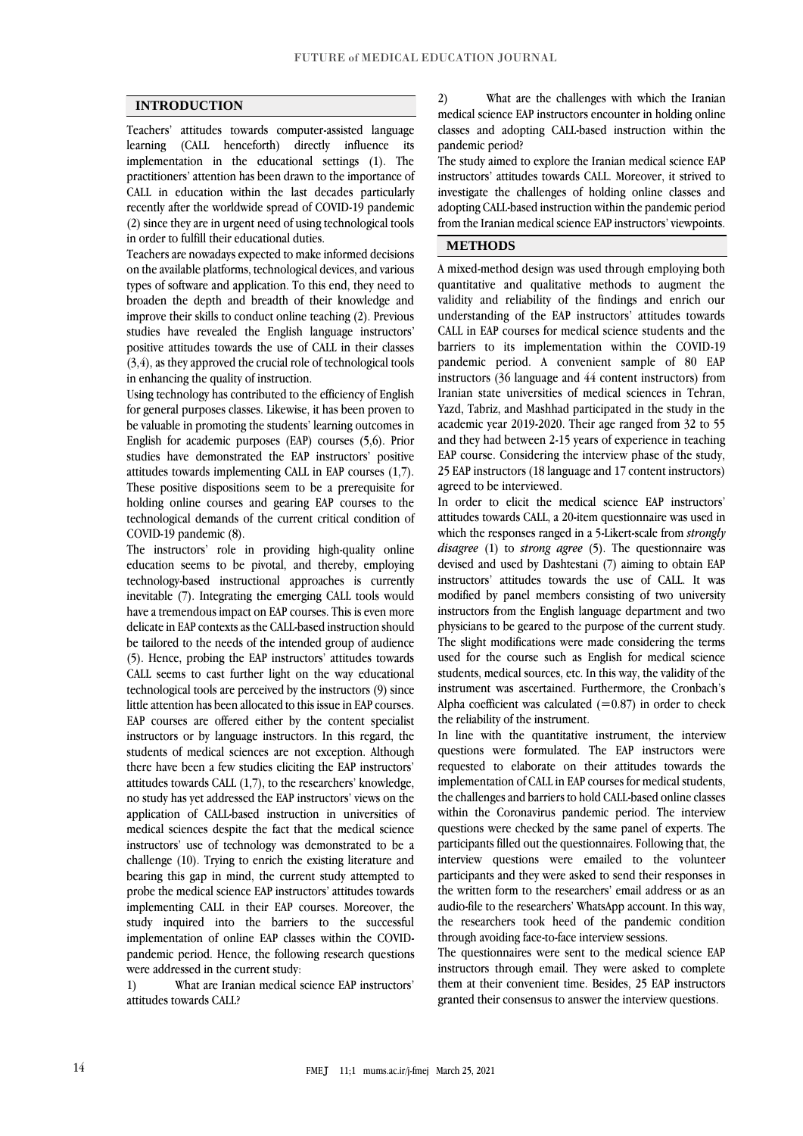#### **INTRODUCTION**

Teachers' attitudes towards computer-assisted language learning (CALL henceforth) directly influence its implementation in the educational settings (1). The practitioners' attention has been drawn to the importance of CALL in education within the last decades particularly recently after the worldwide spread of COVID-19 pandemic (2) since they are in urgent need of using technological tools in order to fulfill their educational duties.

Teachers are nowadays expected to make informed decisions on the available platforms, technological devices, and various types of software and application. To this end, they need to broaden the depth and breadth of their knowledge and improve their skills to conduct online teaching (2). Previous studies have revealed the English language instructors' positive attitudes towards the use of CALL in their classes (3,4), as they approved the crucial role of technological tools in enhancing the quality of instruction.

Using technology has contributed to the efficiency of English for general purposes classes. Likewise, it has been proven to be valuable in promoting the students' learning outcomes in English for academic purposes (EAP) courses (5,6). Prior studies have demonstrated the EAP instructors' positive attitudes towards implementing CALL in EAP courses (1,7). These positive dispositions seem to be a prerequisite for holding online courses and gearing EAP courses to the technological demands of the current critical condition of COVID-19 pandemic (8).

The instructors' role in providing high-quality online education seems to be pivotal, and thereby, employing technology-based instructional approaches is currently inevitable (7). Integrating the emerging CALL tools would have a tremendous impact on EAP courses. This is even more delicate in EAP contexts as the CALL-based instruction should be tailored to the needs of the intended group of audience (5). Hence, probing the EAP instructors' attitudes towards CALL seems to cast further light on the way educational technological tools are perceived by the instructors (9) since little attention has been allocated to this issue in EAP courses. EAP courses are offered either by the content specialist instructors or by language instructors. In this regard, the students of medical sciences are not exception. Although there have been a few studies eliciting the EAP instructors' attitudes towards CALL (1,7), to the researchers' knowledge, no study has yet addressed the EAP instructors' views on the application of CALL-based instruction in universities of medical sciences despite the fact that the medical science instructors' use of technology was demonstrated to be a challenge (10). Trying to enrich the existing literature and bearing this gap in mind, the current study attempted to probe the medical science EAP instructors' attitudes towards implementing CALL in their EAP courses. Moreover, the study inquired into the barriers to the successful implementation of online EAP classes within the COVIDpandemic period. Hence, the following research questions were addressed in the current study:

1) What are Iranian medical science EAP instructors' attitudes towards CALL?

2) What are the challenges with which the Iranian medical science EAP instructors encounter in holding online classes and adopting CALL-based instruction within the pandemic period?

The study aimed to explore the Iranian medical science EAP instructors' attitudes towards CALL. Moreover, it strived to investigate the challenges of holding online classes and adopting CALL-based instruction within the pandemic period from the Iranian medical science EAP instructors' viewpoints.

#### **METHODS**

A mixed-method design was used through employing both quantitative and qualitative methods to augment the validity and reliability of the findings and enrich our understanding of the EAP instructors' attitudes towards CALL in EAP courses for medical science students and the barriers to its implementation within the COVID-19 pandemic period. A convenient sample of 80 EAP instructors (36 language and 44 content instructors) from Iranian state universities of medical sciences in Tehran, Yazd, Tabriz, and Mashhad participated in the study in the academic year 2019-2020. Their age ranged from 32 to 55 and they had between 2-15 years of experience in teaching EAP course. Considering the interview phase of the study, 25 EAP instructors (18 language and 17 content instructors) agreed to be interviewed.

In order to elicit the medical science EAP instructors' attitudes towards CALL, a 20-item questionnaire was used in which the responses ranged in a 5-Likert-scale from *strongly disagree* (1) to *strong agree* (5). The questionnaire was devised and used by Dashtestani (7) aiming to obtain EAP instructors' attitudes towards the use of CALL. It was modified by panel members consisting of two university instructors from the English language department and two physicians to be geared to the purpose of the current study. The slight modifications were made considering the terms used for the course such as English for medical science students, medical sources, etc. In this way, the validity of the instrument was ascertained. Furthermore, the Cronbach's Alpha coefficient was calculated  $(=0.87)$  in order to check the reliability of the instrument.

In line with the quantitative instrument, the interview questions were formulated. The EAP instructors were requested to elaborate on their attitudes towards the implementation of CALL in EAP courses for medical students, the challenges and barriers to hold CALL-based online classes within the Coronavirus pandemic period. The interview questions were checked by the same panel of experts. The participants filled out the questionnaires. Following that, the interview questions were emailed to the volunteer participants and they were asked to send their responses in the written form to the researchers' email address or as an audio-file to the researchers' WhatsApp account. In this way, the researchers took heed of the pandemic condition through avoiding face-to-face interview sessions.

The questionnaires were sent to the medical science EAP instructors through email. They were asked to complete them at their convenient time. Besides, 25 EAP instructors granted their consensus to answer the interview questions.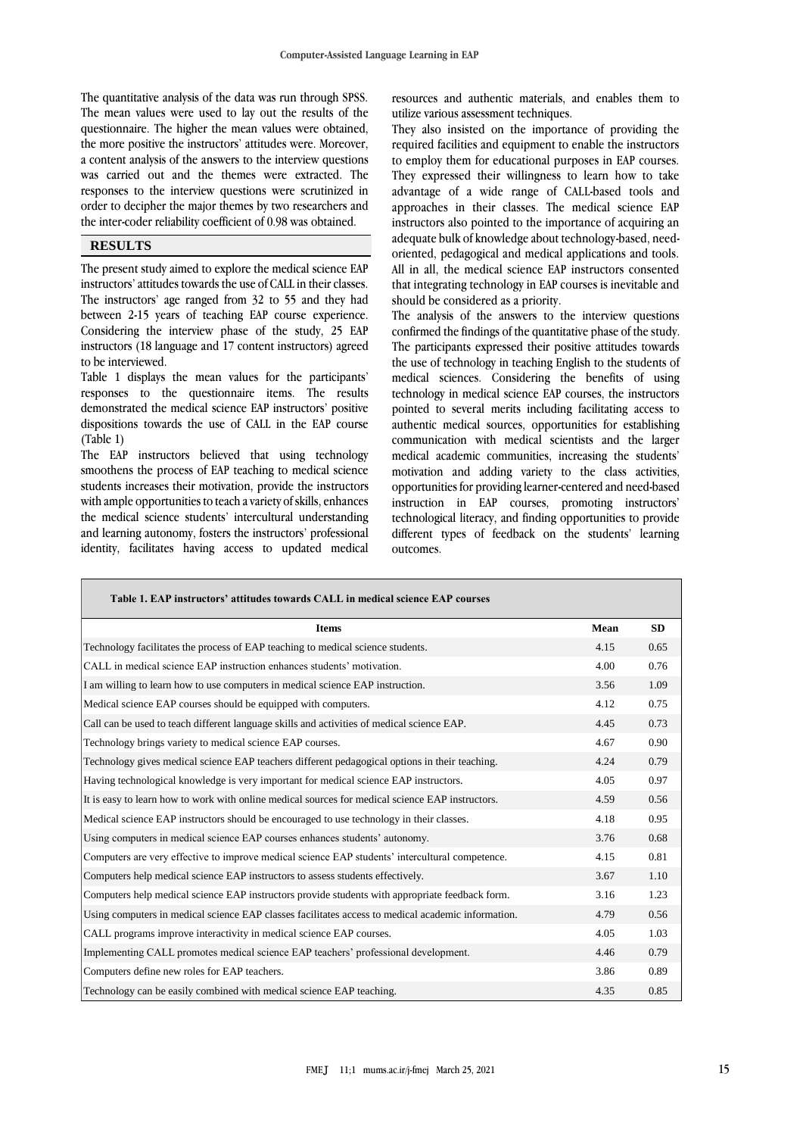The quantitative analysis of the data was run through SPSS. The mean values were used to lay out the results of the questionnaire. The higher the mean values were obtained, the more positive the instructors' attitudes were. Moreover, a content analysis of the answers to the interview questions was carried out and the themes were extracted. The responses to the interview questions were scrutinized in order to decipher the major themes by two researchers and the inter-coder reliability coefficient of 0.98 was obtained.

### **RESULTS**

The present study aimed to explore the medical science EAP instructors' attitudes towards the use of CALL in their classes. The instructors' age ranged from 32 to 55 and they had between 2-15 years of teaching EAP course experience. Considering the interview phase of the study, 25 EAP instructors (18 language and 17 content instructors) agreed to be interviewed.

Table 1 displays the mean values for the participants' responses to the questionnaire items. The results demonstrated the medical science EAP instructors' positive dispositions towards the use of CALL in the EAP course (Table 1)

The EAP instructors believed that using technology smoothens the process of EAP teaching to medical science students increases their motivation, provide the instructors with ample opportunities to teach a variety of skills, enhances the medical science students' intercultural understanding and learning autonomy, fosters the instructors' professional identity, facilitates having access to updated medical

resources and authentic materials, and enables them to utilize various assessment techniques.

They also insisted on the importance of providing the required facilities and equipment to enable the instructors to employ them for educational purposes in EAP courses. They expressed their willingness to learn how to take advantage of a wide range of CALL-based tools and approaches in their classes. The medical science EAP instructors also pointed to the importance of acquiring an adequate bulk of knowledge about technology-based, needoriented, pedagogical and medical applications and tools. All in all, the medical science EAP instructors consented that integrating technology in EAP courses is inevitable and should be considered as a priority.

The analysis of the answers to the interview questions confirmed the findings of the quantitative phase of the study. The participants expressed their positive attitudes towards the use of technology in teaching English to the students of medical sciences. Considering the benefits of using technology in medical science EAP courses, the instructors pointed to several merits including facilitating access to authentic medical sources, opportunities for establishing communication with medical scientists and the larger medical academic communities, increasing the students' motivation and adding variety to the class activities, opportunities for providing learner-centered and need-based instruction in EAP courses, promoting instructors' technological literacy, and finding opportunities to provide different types of feedback on the students' learning outcomes.

| Table 1. EAP instructors' attitudes towards CALL in medical science EAP courses                    |      |           |
|----------------------------------------------------------------------------------------------------|------|-----------|
| <b>Items</b>                                                                                       | Mean | <b>SD</b> |
| Technology facilitates the process of EAP teaching to medical science students.                    | 4.15 | 0.65      |
| CALL in medical science EAP instruction enhances students' motivation.                             | 4.00 | 0.76      |
| I am willing to learn how to use computers in medical science EAP instruction.                     | 3.56 | 1.09      |
| Medical science EAP courses should be equipped with computers.                                     | 4.12 | 0.75      |
| Call can be used to teach different language skills and activities of medical science EAP.         | 4.45 | 0.73      |
| Technology brings variety to medical science EAP courses.                                          | 4.67 | 0.90      |
| Technology gives medical science EAP teachers different pedagogical options in their teaching.     | 4.24 | 0.79      |
| Having technological knowledge is very important for medical science EAP instructors.              | 4.05 | 0.97      |
| It is easy to learn how to work with online medical sources for medical science EAP instructors.   | 4.59 | 0.56      |
| Medical science EAP instructors should be encouraged to use technology in their classes.           | 4.18 | 0.95      |
| Using computers in medical science EAP courses enhances students' autonomy.                        | 3.76 | 0.68      |
| Computers are very effective to improve medical science EAP students' intercultural competence.    | 4.15 | 0.81      |
| Computers help medical science EAP instructors to assess students effectively.                     | 3.67 | 1.10      |
| Computers help medical science EAP instructors provide students with appropriate feedback form.    | 3.16 | 1.23      |
| Using computers in medical science EAP classes facilitates access to medical academic information. | 4.79 | 0.56      |
| CALL programs improve interactivity in medical science EAP courses.                                | 4.05 | 1.03      |
| Implementing CALL promotes medical science EAP teachers' professional development.                 | 4.46 | 0.79      |
| Computers define new roles for EAP teachers.                                                       | 3.86 | 0.89      |
| Technology can be easily combined with medical science EAP teaching.                               | 4.35 | 0.85      |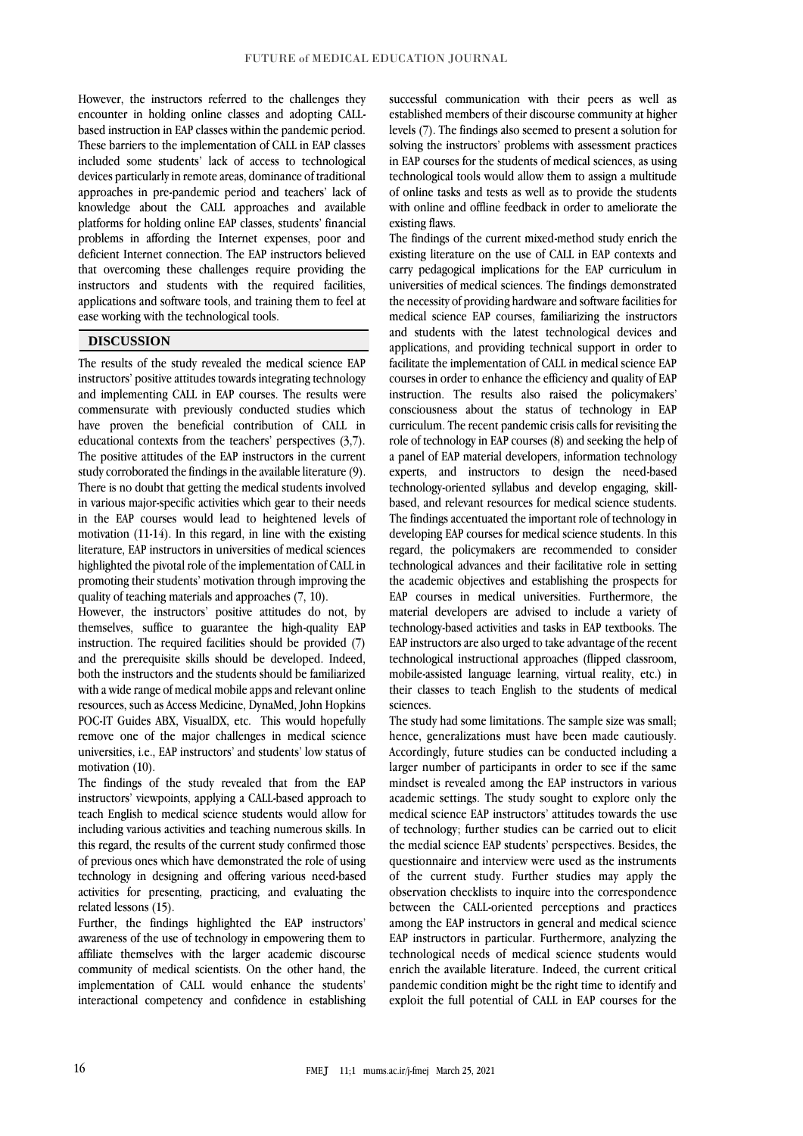However, the instructors referred to the challenges they encounter in holding online classes and adopting CALLbased instruction in EAP classes within the pandemic period. These barriers to the implementation of CALL in EAP classes included some students' lack of access to technological devices particularly in remote areas, dominance of traditional approaches in pre-pandemic period and teachers' lack of knowledge about the CALL approaches and available platforms for holding online EAP classes, students' financial problems in affording the Internet expenses, poor and deficient Internet connection. The EAP instructors believed that overcoming these challenges require providing the instructors and students with the required facilities, applications and software tools, and training them to feel at ease working with the technological tools.

#### **DISCUSSION**

The results of the study revealed the medical science EAP instructors' positive attitudes towards integrating technology and implementing CALL in EAP courses. The results were commensurate with previously conducted studies which have proven the beneficial contribution of CALL in educational contexts from the teachers' perspectives (3,7). The positive attitudes of the EAP instructors in the current study corroborated the findings in the available literature (9). There is no doubt that getting the medical students involved in various major-specific activities which gear to their needs in the EAP courses would lead to heightened levels of motivation (11-14). In this regard, in line with the existing literature, EAP instructors in universities of medical sciences highlighted the pivotal role of the implementation of CALL in promoting their students' motivation through improving the quality of teaching materials and approaches (7, 10).

However, the instructors' positive attitudes do not, by themselves, suffice to guarantee the high-quality EAP instruction. The required facilities should be provided (7) and the prerequisite skills should be developed. Indeed, both the instructors and the students should be familiarized with a wide range of medical mobile apps and relevant online resources, such as Access Medicine, DynaMed, John Hopkins POC-IT Guides ABX, VisualDX, etc. This would hopefully remove one of the major challenges in medical science universities, i.e., EAP instructors' and students' low status of motivation (10).

The findings of the study revealed that from the EAP instructors' viewpoints, applying a CALL-based approach to teach English to medical science students would allow for including various activities and teaching numerous skills. In this regard, the results of the current study confirmed those of previous ones which have demonstrated the role of using technology in designing and offering various need-based activities for presenting, practicing, and evaluating the related lessons (15).

Further, the findings highlighted the EAP instructors' awareness of the use of technology in empowering them to affiliate themselves with the larger academic discourse community of medical scientists. On the other hand, the implementation of CALL would enhance the students' interactional competency and confidence in establishing successful communication with their peers as well as established members of their discourse community at higher levels (7). The findings also seemed to present a solution for solving the instructors' problems with assessment practices in EAP courses for the students of medical sciences, as using technological tools would allow them to assign a multitude of online tasks and tests as well as to provide the students with online and offline feedback in order to ameliorate the existing flaws.

The findings of the current mixed-method study enrich the existing literature on the use of CALL in EAP contexts and carry pedagogical implications for the EAP curriculum in universities of medical sciences. The findings demonstrated the necessity of providing hardware and software facilities for medical science EAP courses, familiarizing the instructors and students with the latest technological devices and applications, and providing technical support in order to facilitate the implementation of CALL in medical science EAP courses in order to enhance the efficiency and quality of EAP instruction. The results also raised the policymakers' consciousness about the status of technology in EAP curriculum. The recent pandemic crisis calls for revisiting the role of technology in EAP courses (8) and seeking the help of a panel of EAP material developers, information technology experts, and instructors to design the need-based technology-oriented syllabus and develop engaging, skillbased, and relevant resources for medical science students. The findings accentuated the important role of technology in developing EAP courses for medical science students. In this regard, the policymakers are recommended to consider technological advances and their facilitative role in setting the academic objectives and establishing the prospects for EAP courses in medical universities. Furthermore, the material developers are advised to include a variety of technology-based activities and tasks in EAP textbooks. The EAP instructors are also urged to take advantage of the recent technological instructional approaches (flipped classroom, mobile-assisted language learning, virtual reality, etc.) in their classes to teach English to the students of medical sciences.

The study had some limitations. The sample size was small; hence, generalizations must have been made cautiously. Accordingly, future studies can be conducted including a larger number of participants in order to see if the same mindset is revealed among the EAP instructors in various academic settings. The study sought to explore only the medical science EAP instructors' attitudes towards the use of technology; further studies can be carried out to elicit the medial science EAP students' perspectives. Besides, the questionnaire and interview were used as the instruments of the current study. Further studies may apply the observation checklists to inquire into the correspondence between the CALL-oriented perceptions and practices among the EAP instructors in general and medical science EAP instructors in particular. Furthermore, analyzing the technological needs of medical science students would enrich the available literature. Indeed, the current critical pandemic condition might be the right time to identify and exploit the full potential of CALL in EAP courses for the